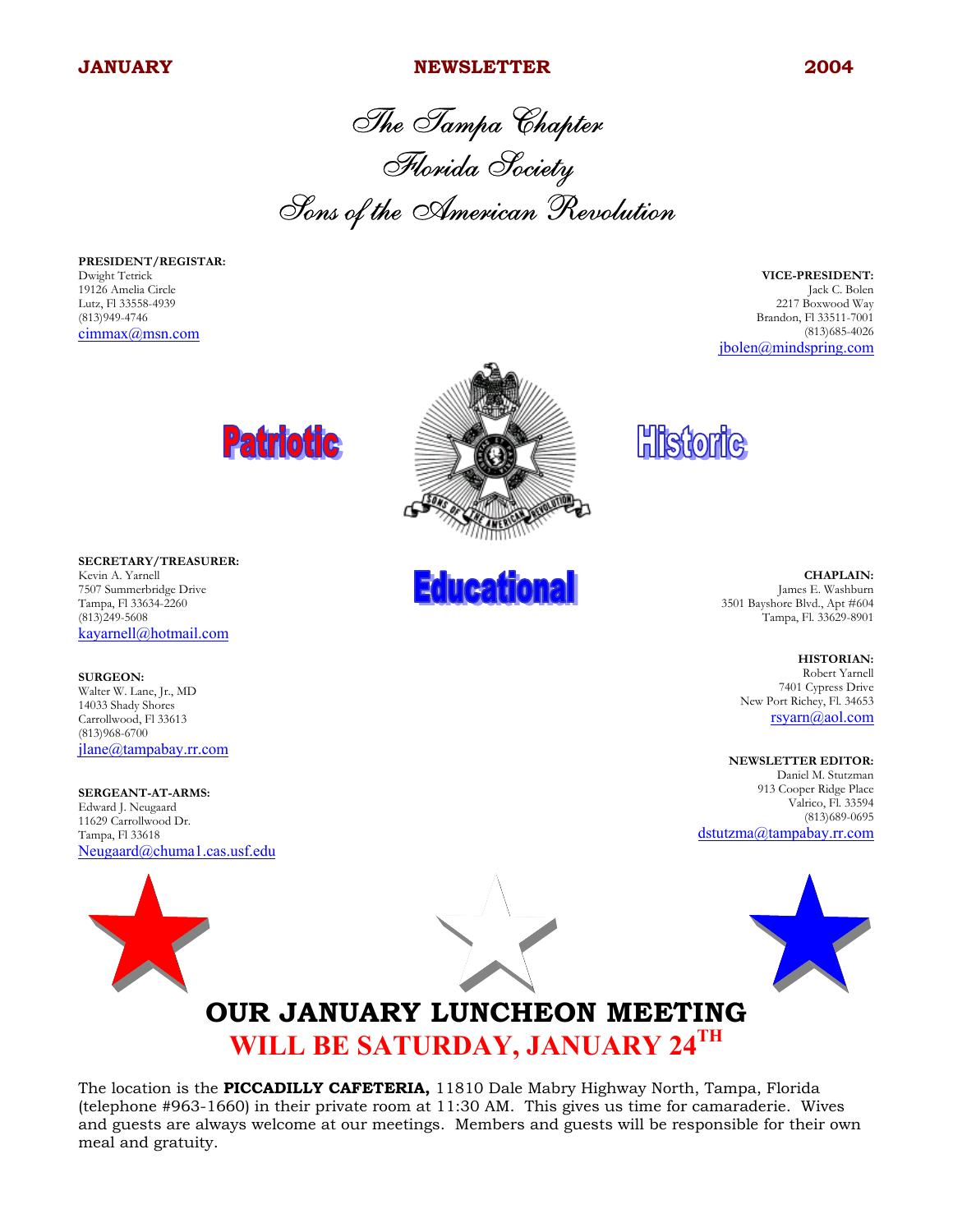#### **JANUARY 2004** NEWSLETTER 2004

The Tampa Chapter Florida Society Sons of the American Revolution

**PRESIDENT/REGISTAR:** Dwight Tetrick 19126 Amelia Circle Lutz, Fl 33558-4939 (813)949-4746 cimmax@msn.com

**VICE-PRESIDENT:** Jack C. Bolen 2217 Boxwood Way Brandon, Fl 33511-7001 (813)685-4026 jbolen@mindspring.com



**SECRETARY/TREASURER:** Kevin A. Yarnell 7507 Summerbridge Drive Tampa, Fl 33634-2260 (813)249-5608 kayarnell@hotmail.com

**SURGEON:** Walter W. Lane, Jr., MD 14033 Shady Shores Carrollwood, Fl 33613 (813)968-6700 jlane@tampabay.rr.com

**SERGEANT-AT-ARMS:** Edward J. Neugaard 11629 Carrollwood Dr. Tampa, Fl 33618 Neugaard@chuma1.cas.usf.edu



**Educational** 

**Historic** 

**CHAPLAIN:** James E. Washburn 3501 Bayshore Blvd., Apt #604 Tampa, Fl. 33629-8901

> **HISTORIAN:** Robert Yarnell 7401 Cypress Drive

New Port Richey, Fl. 34653 rsyarn@aol.com

**NEWSLETTER EDITOR:**

Daniel M. Stutzman 913 Cooper Ridge Place Valrico, Fl. 33594 (813)689-0695 dstutzma@tampabay.rr.com



## **OUR JANUARY LUNCHEON MEETING WILL BE SATURDAY, JANUARY 24TH**

The location is the **PICCADILLY CAFETERIA,** 11810 Dale Mabry Highway North, Tampa, Florida (telephone #963-1660) in their private room at 11:30 AM. This gives us time for camaraderie. Wives and guests are always welcome at our meetings. Members and guests will be responsible for their own meal and gratuity.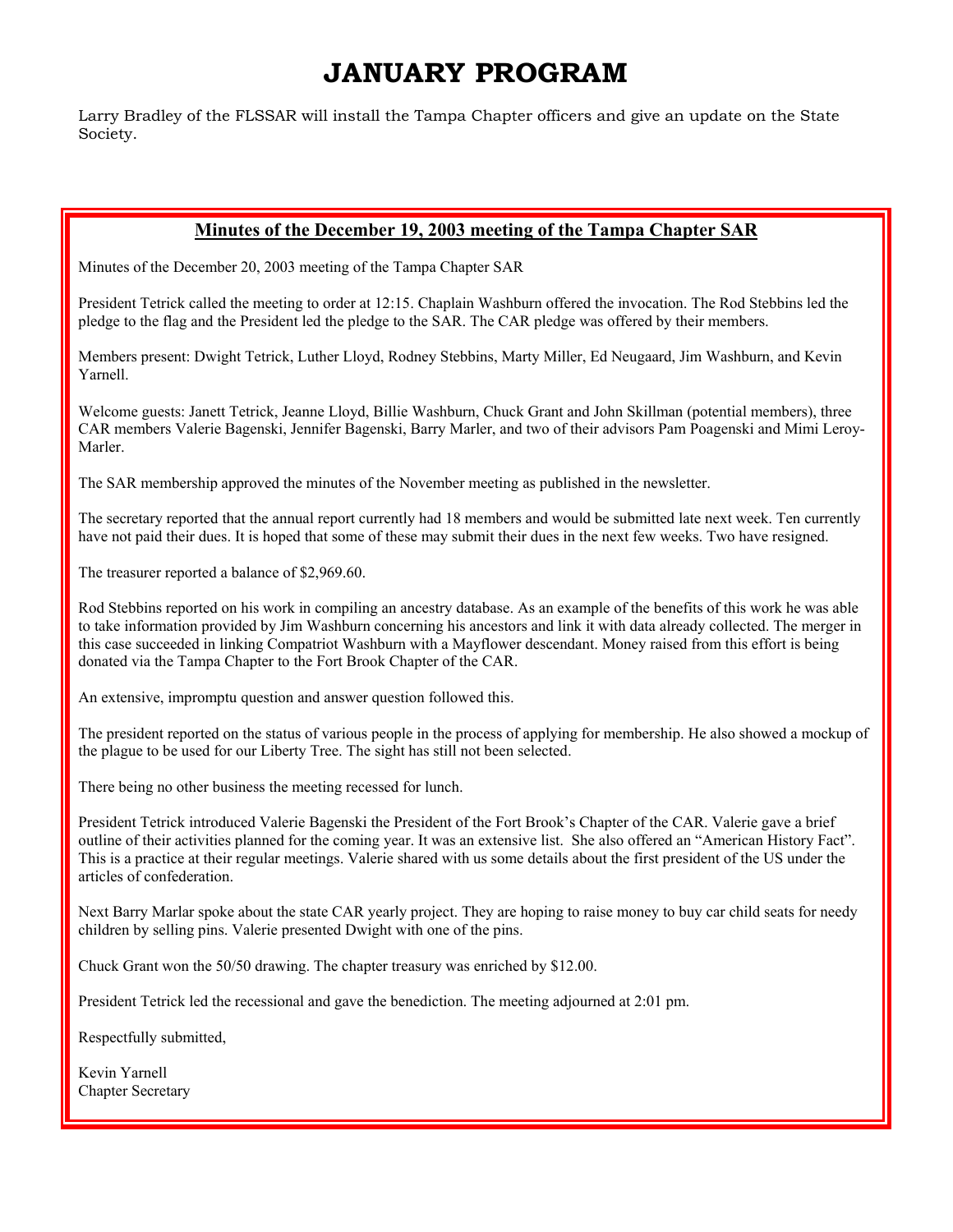### **JANUARY PROGRAM**

Larry Bradley of the FLSSAR will install the Tampa Chapter officers and give an update on the State Society.

### **Minutes of the December 19, 2003 meeting of the Tampa Chapter SAR**

Minutes of the December 20, 2003 meeting of the Tampa Chapter SAR

President Tetrick called the meeting to order at 12:15. Chaplain Washburn offered the invocation. The Rod Stebbins led the pledge to the flag and the President led the pledge to the SAR. The CAR pledge was offered by their members.

Members present: Dwight Tetrick, Luther Lloyd, Rodney Stebbins, Marty Miller, Ed Neugaard, Jim Washburn, and Kevin Yarnell.

Welcome guests: Janett Tetrick, Jeanne Lloyd, Billie Washburn, Chuck Grant and John Skillman (potential members), three CAR members Valerie Bagenski, Jennifer Bagenski, Barry Marler, and two of their advisors Pam Poagenski and Mimi Leroy-Marler.

The SAR membership approved the minutes of the November meeting as published in the newsletter.

The secretary reported that the annual report currently had 18 members and would be submitted late next week. Ten currently have not paid their dues. It is hoped that some of these may submit their dues in the next few weeks. Two have resigned.

The treasurer reported a balance of \$2,969.60.

Rod Stebbins reported on his work in compiling an ancestry database. As an example of the benefits of this work he was able to take information provided by Jim Washburn concerning his ancestors and link it with data already collected. The merger in this case succeeded in linking Compatriot Washburn with a Mayflower descendant. Money raised from this effort is being donated via the Tampa Chapter to the Fort Brook Chapter of the CAR.

An extensive, impromptu question and answer question followed this.

The president reported on the status of various people in the process of applying for membership. He also showed a mockup of the plague to be used for our Liberty Tree. The sight has still not been selected.

There being no other business the meeting recessed for lunch.

President Tetrick introduced Valerie Bagenski the President of the Fort Brook's Chapter of the CAR. Valerie gave a brief outline of their activities planned for the coming year. It was an extensive list. She also offered an "American History Fact". This is a practice at their regular meetings. Valerie shared with us some details about the first president of the US under the articles of confederation.

Next Barry Marlar spoke about the state CAR yearly project. They are hoping to raise money to buy car child seats for needy children by selling pins. Valerie presented Dwight with one of the pins.

Chuck Grant won the 50/50 drawing. The chapter treasury was enriched by \$12.00.

President Tetrick led the recessional and gave the benediction. The meeting adjourned at 2:01 pm.

Respectfully submitted,

Kevin Yarnell Chapter Secretary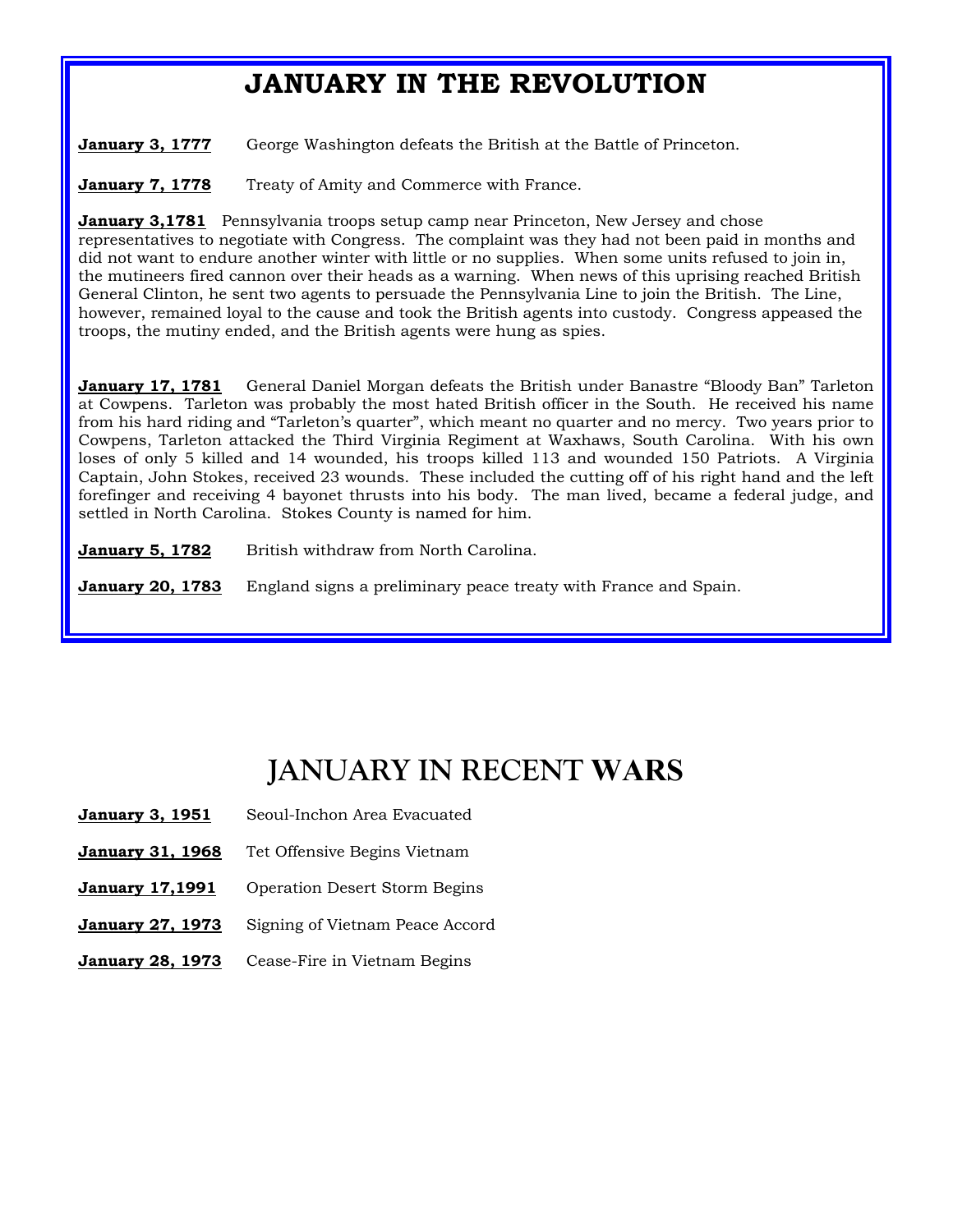## **JANUARY IN THE REVOLUTION**

**January 3, 1777** George Washington defeats the British at the Battle of Princeton.

**January 7, 1778** Treaty of Amity and Commerce with France.

**January 3,1781** Pennsylvania troops setup camp near Princeton, New Jersey and chose representatives to negotiate with Congress. The complaint was they had not been paid in months and did not want to endure another winter with little or no supplies. When some units refused to join in, the mutineers fired cannon over their heads as a warning. When news of this uprising reached British General Clinton, he sent two agents to persuade the Pennsylvania Line to join the British. The Line, however, remained loyal to the cause and took the British agents into custody. Congress appeased the troops, the mutiny ended, and the British agents were hung as spies.

**January 17, 1781** General Daniel Morgan defeats the British under Banastre "Bloody Ban" Tarleton at Cowpens. Tarleton was probably the most hated British officer in the South. He received his name from his hard riding and "Tarleton's quarter", which meant no quarter and no mercy. Two years prior to Cowpens, Tarleton attacked the Third Virginia Regiment at Waxhaws, South Carolina. With his own loses of only 5 killed and 14 wounded, his troops killed 113 and wounded 150 Patriots. A Virginia Captain, John Stokes, received 23 wounds. These included the cutting off of his right hand and the left forefinger and receiving 4 bayonet thrusts into his body. The man lived, became a federal judge, and settled in North Carolina. Stokes County is named for him.

**January 5, 1782** British withdraw from North Carolina.

**January 20, 1783** England signs a preliminary peace treaty with France and Spain.

# **JANUARY IN RECENT WARS**

- January 3, 1951 Seoul-Inchon Area Evacuated
- **January 31, 1968** Tet Offensive Begins Vietnam
- **January 17,1991** Operation Desert Storm Begins
- January 27, 1973 Signing of Vietnam Peace Accord
- **January 28, 1973** Cease-Fire in Vietnam Begins